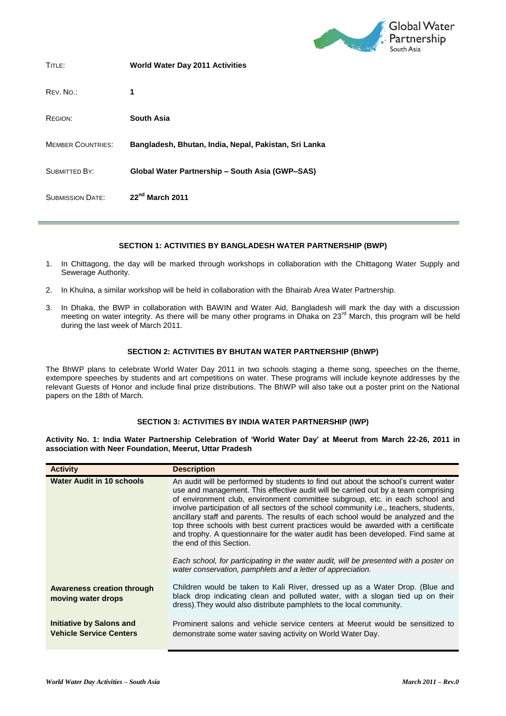

| TITLE:                   | World Water Day 2011 Activities                       |
|--------------------------|-------------------------------------------------------|
| REV. NO.:                | 1                                                     |
| REGION:                  | South Asia                                            |
| <b>MEMBER COUNTRIES:</b> | Bangladesh, Bhutan, India, Nepal, Pakistan, Sri Lanka |
| <b>SUBMITTED BY:</b>     | Global Water Partnership - South Asia (GWP-SAS)       |
| <b>SUBMISSION DATE:</b>  | 22 <sup>nd</sup> March 2011                           |

## **SECTION 1: ACTIVITIES BY BANGLADESH WATER PARTNERSHIP (BWP)**

- 1. In Chittagong, the day will be marked through workshops in collaboration with the Chittagong Water Supply and Sewerage Authority.
- 2. In Khulna, a similar workshop will be held in collaboration with the Bhairab Area Water Partnership.
- 3. In Dhaka, the BWP in collaboration with BAWIN and Water Aid, Bangladesh will mark the day with a discussion meeting on water integrity. As there will be many other programs in Dhaka on 23<sup>rd</sup> March, this program will be held during the last week of March 2011.

## **SECTION 2: ACTIVITIES BY BHUTAN WATER PARTNERSHIP (BhWP)**

The BhWP plans to celebrate World Water Day 2011 in two schools staging a theme song, speeches on the theme, extempore speeches by students and art competitions on water. These programs will include keynote addresses by the relevant Guests of Honor and include final prize distributions. The BhWP will also take out a poster print on the National papers on the 18th of March.

#### **SECTION 3: ACTIVITIES BY INDIA WATER PARTNERSHIP (IWP)**

**Activity No. 1: India Water Partnership Celebration of 'World Water Day' at Meerut from March 22-26, 2011 in association with Neer Foundation, Meerut, Uttar Pradesh**

| <b>Activity</b>                                            | <b>Description</b>                                                                                                                                                                                                                                                                                                                                                                                                                                                                                                                                                                                                                                                                                                                                                                                   |
|------------------------------------------------------------|------------------------------------------------------------------------------------------------------------------------------------------------------------------------------------------------------------------------------------------------------------------------------------------------------------------------------------------------------------------------------------------------------------------------------------------------------------------------------------------------------------------------------------------------------------------------------------------------------------------------------------------------------------------------------------------------------------------------------------------------------------------------------------------------------|
| <b>Water Audit in 10 schools</b>                           | An audit will be performed by students to find out about the school's current water<br>use and management. This effective audit will be carried out by a team comprising<br>of environment club, environment committee subgroup, etc. in each school and<br>involve participation of all sectors of the school community i.e., teachers, students,<br>ancillary staff and parents. The results of each school would be analyzed and the<br>top three schools with best current practices would be awarded with a certificate<br>and trophy. A questionnaire for the water audit has been developed. Find same at<br>the end of this Section.<br>Each school, for participating in the water audit, will be presented with a poster on<br>water conservation, pamphlets and a letter of appreciation. |
|                                                            |                                                                                                                                                                                                                                                                                                                                                                                                                                                                                                                                                                                                                                                                                                                                                                                                      |
| <b>Awareness creation through</b><br>moving water drops    | Children would be taken to Kali River, dressed up as a Water Drop. (Blue and<br>black drop indicating clean and polluted water, with a slogan tied up on their<br>dress). They would also distribute pamphlets to the local community.                                                                                                                                                                                                                                                                                                                                                                                                                                                                                                                                                               |
| Initiative by Salons and<br><b>Vehicle Service Centers</b> | Prominent salons and vehicle service centers at Meerut would be sensitized to<br>demonstrate some water saving activity on World Water Day.                                                                                                                                                                                                                                                                                                                                                                                                                                                                                                                                                                                                                                                          |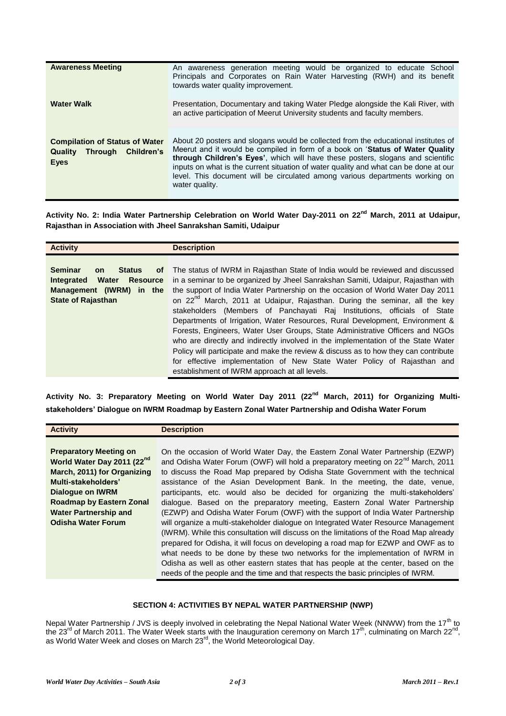| <b>Awareness Meeting</b><br><b>Water Walk</b>                                                 | An awareness generation meeting would be organized to educate School<br>Principals and Corporates on Rain Water Harvesting (RWH) and its benefit<br>towards water quality improvement.<br>Presentation, Documentary and taking Water Pledge alongside the Kali River, with<br>an active participation of Meerut University students and faculty members.                                                                                         |
|-----------------------------------------------------------------------------------------------|--------------------------------------------------------------------------------------------------------------------------------------------------------------------------------------------------------------------------------------------------------------------------------------------------------------------------------------------------------------------------------------------------------------------------------------------------|
| <b>Compilation of Status of Water</b><br>Through Children's<br><b>Quality</b><br><b>E</b> yes | About 20 posters and slogans would be collected from the educational institutes of<br>Meerut and it would be compiled in form of a book on 'Status of Water Quality<br>through Children's Eyes', which will have these posters, slogans and scientific<br>inputs on what is the current situation of water quality and what can be done at our<br>level. This document will be circulated among various departments working on<br>water quality. |

**Activity No. 2: India Water Partnership Celebration on World Water Day-2011 on 22nd March, 2011 at Udaipur, Rajasthan in Association with Jheel Sanrakshan Samiti, Udaipur**

**Activity No. 3: Preparatory Meeting on World Water Day 2011 (22nd March, 2011) for Organizing Multistakeholders' Dialogue on IWRM Roadmap by Eastern Zonal Water Partnership and Odisha Water Forum**

| <b>Activity</b>                        | <b>Description</b>                                                                           |
|----------------------------------------|----------------------------------------------------------------------------------------------|
|                                        |                                                                                              |
| <b>Preparatory Meeting on</b>          | On the occasion of World Water Day, the Eastern Zonal Water Partnership (EZWP)               |
| World Water Day 2011 (22 <sup>nd</sup> | and Odisha Water Forum (OWF) will hold a preparatory meeting on 22 <sup>nd</sup> March, 2011 |
| March, 2011) for Organizing            | to discuss the Road Map prepared by Odisha State Government with the technical               |
| Multi-stakeholders'                    | assistance of the Asian Development Bank. In the meeting, the date, venue,                   |
| Dialogue on IWRM                       | participants, etc. would also be decided for organizing the multi-stakeholders'              |
| <b>Roadmap by Eastern Zonal</b>        | dialogue. Based on the preparatory meeting, Eastern Zonal Water Partnership                  |
| <b>Water Partnership and</b>           | (EZWP) and Odisha Water Forum (OWF) with the support of India Water Partnership              |
| <b>Odisha Water Forum</b>              | will organize a multi-stakeholder dialogue on Integrated Water Resource Management           |
|                                        | (IWRM). While this consultation will discuss on the limitations of the Road Map already      |
|                                        | prepared for Odisha, it will focus on developing a road map for EZWP and OWF as to           |
|                                        | what needs to be done by these two networks for the implementation of IWRM in                |
|                                        | Odisha as well as other eastern states that has people at the center, based on the           |
|                                        | needs of the people and the time and that respects the basic principles of IWRM.             |

# **SECTION 4: ACTIVITIES BY NEPAL WATER PARTNERSHIP (NWP)**

Nepal Water Partnership / JVS is deeply involved in celebrating the Nepal National Water Week (NNWW) from the 17<sup>th</sup> to the 23<sup>rd</sup> of March 2011. The Water Week starts with the Inauguration ceremony on March 17<sup>th</sup>, culminating on March 22<sup>nd</sup>, as World Water Week and closes on March 23<sup>rd</sup>, the World Meteorological Day.